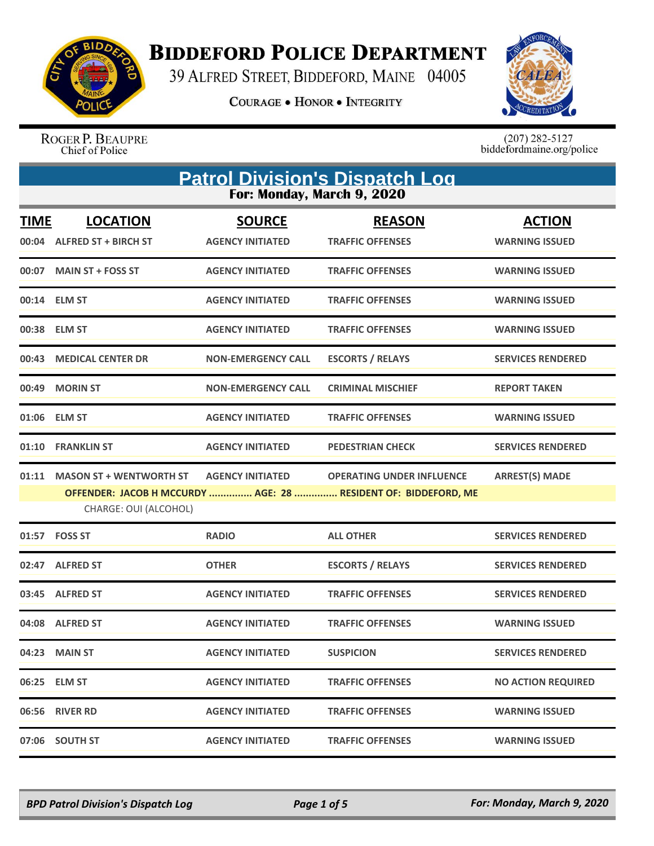

**BIDDEFORD POLICE DEPARTMENT** 

39 ALFRED STREET, BIDDEFORD, MAINE 04005

**COURAGE . HONOR . INTEGRITY** 



ROGER P. BEAUPRE<br>Chief of Police

 $(207)$  282-5127<br>biddefordmaine.org/police

| <b>Patrol Division's Dispatch Log</b><br>For: Monday, March 9, 2020 |                                                         |                                          |                                                                                                    |                                        |
|---------------------------------------------------------------------|---------------------------------------------------------|------------------------------------------|----------------------------------------------------------------------------------------------------|----------------------------------------|
| <b>TIME</b><br>00:04                                                | <b>LOCATION</b><br><b>ALFRED ST + BIRCH ST</b>          | <b>SOURCE</b><br><b>AGENCY INITIATED</b> | <b>REASON</b><br><b>TRAFFIC OFFENSES</b>                                                           | <b>ACTION</b><br><b>WARNING ISSUED</b> |
| 00:07                                                               | <b>MAIN ST + FOSS ST</b>                                | <b>AGENCY INITIATED</b>                  | <b>TRAFFIC OFFENSES</b>                                                                            | <b>WARNING ISSUED</b>                  |
|                                                                     | 00:14 ELM ST                                            | <b>AGENCY INITIATED</b>                  | <b>TRAFFIC OFFENSES</b>                                                                            | <b>WARNING ISSUED</b>                  |
|                                                                     | 00:38 ELM ST                                            | <b>AGENCY INITIATED</b>                  | <b>TRAFFIC OFFENSES</b>                                                                            | <b>WARNING ISSUED</b>                  |
| 00:43                                                               | <b>MEDICAL CENTER DR</b>                                | <b>NON-EMERGENCY CALL</b>                | <b>ESCORTS / RELAYS</b>                                                                            | <b>SERVICES RENDERED</b>               |
| 00:49                                                               | <b>MORIN ST</b>                                         | <b>NON-EMERGENCY CALL</b>                | <b>CRIMINAL MISCHIEF</b>                                                                           | <b>REPORT TAKEN</b>                    |
|                                                                     | 01:06 ELM ST                                            | <b>AGENCY INITIATED</b>                  | <b>TRAFFIC OFFENSES</b>                                                                            | <b>WARNING ISSUED</b>                  |
| 01:10                                                               | <b>FRANKLIN ST</b>                                      | <b>AGENCY INITIATED</b>                  | <b>PEDESTRIAN CHECK</b>                                                                            | <b>SERVICES RENDERED</b>               |
| 01:11                                                               | <b>MASON ST + WENTWORTH ST</b><br>CHARGE: OUI (ALCOHOL) | <b>AGENCY INITIATED</b>                  | <b>OPERATING UNDER INFLUENCE</b><br>OFFENDER: JACOB H MCCURDY  AGE: 28  RESIDENT OF: BIDDEFORD, ME | <b>ARREST(S) MADE</b>                  |
| 01:57                                                               | <b>FOSS ST</b>                                          | <b>RADIO</b>                             | <b>ALL OTHER</b>                                                                                   | <b>SERVICES RENDERED</b>               |
|                                                                     | 02:47 ALFRED ST                                         | <b>OTHER</b>                             | <b>ESCORTS / RELAYS</b>                                                                            | <b>SERVICES RENDERED</b>               |
| 03:45                                                               | <b>ALFRED ST</b>                                        | <b>AGENCY INITIATED</b>                  | <b>TRAFFIC OFFENSES</b>                                                                            | <b>SERVICES RENDERED</b>               |
|                                                                     | 04:08 ALFRED ST                                         | <b>AGENCY INITIATED</b>                  | <b>TRAFFIC OFFENSES</b>                                                                            | <b>WARNING ISSUED</b>                  |
|                                                                     | 04:23 MAIN ST                                           | <b>AGENCY INITIATED</b>                  | <b>SUSPICION</b>                                                                                   | <b>SERVICES RENDERED</b>               |
|                                                                     | 06:25 ELM ST                                            | <b>AGENCY INITIATED</b>                  | <b>TRAFFIC OFFENSES</b>                                                                            | <b>NO ACTION REQUIRED</b>              |
|                                                                     | 06:56 RIVER RD                                          | <b>AGENCY INITIATED</b>                  | <b>TRAFFIC OFFENSES</b>                                                                            | <b>WARNING ISSUED</b>                  |
|                                                                     | 07:06 SOUTH ST                                          | <b>AGENCY INITIATED</b>                  | <b>TRAFFIC OFFENSES</b>                                                                            | <b>WARNING ISSUED</b>                  |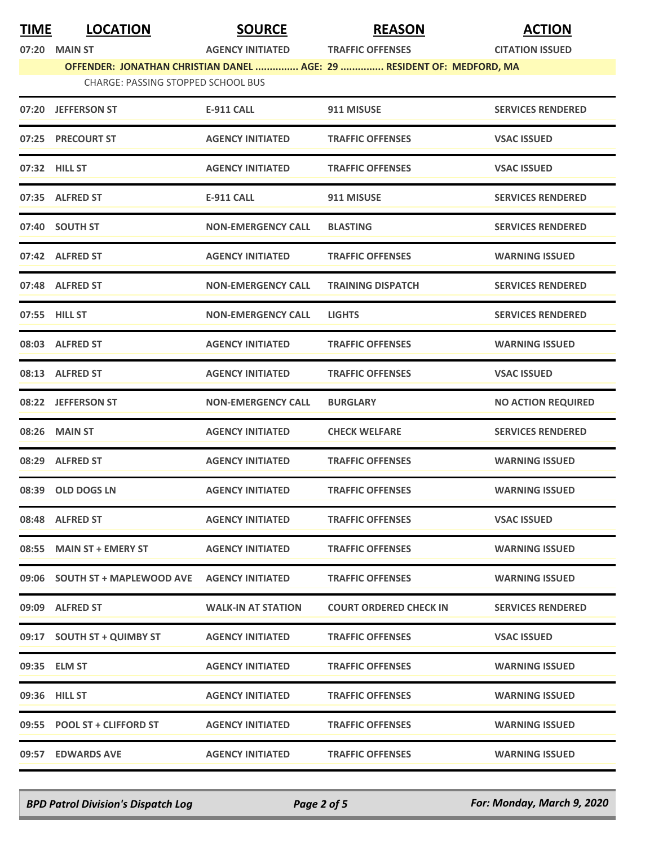| <b>TIME</b> | <b>LOCATION</b>                                                                                                    | <b>SOURCE</b>             | <b>REASON</b>                 | <b>ACTION</b>             |  |
|-------------|--------------------------------------------------------------------------------------------------------------------|---------------------------|-------------------------------|---------------------------|--|
|             | 07:20 MAIN ST                                                                                                      | <b>AGENCY INITIATED</b>   | <b>TRAFFIC OFFENSES</b>       | <b>CITATION ISSUED</b>    |  |
|             | OFFENDER: JONATHAN CHRISTIAN DANEL  AGE: 29  RESIDENT OF: MEDFORD, MA<br><b>CHARGE: PASSING STOPPED SCHOOL BUS</b> |                           |                               |                           |  |
|             | 07:20 JEFFERSON ST                                                                                                 | <b>E-911 CALL</b>         | 911 MISUSE                    | <b>SERVICES RENDERED</b>  |  |
|             | 07:25 PRECOURT ST                                                                                                  | <b>AGENCY INITIATED</b>   | <b>TRAFFIC OFFENSES</b>       | <b>VSAC ISSUED</b>        |  |
|             | 07:32 HILL ST                                                                                                      | <b>AGENCY INITIATED</b>   | <b>TRAFFIC OFFENSES</b>       | <b>VSAC ISSUED</b>        |  |
|             | 07:35 ALFRED ST                                                                                                    | <b>E-911 CALL</b>         | 911 MISUSE                    | <b>SERVICES RENDERED</b>  |  |
|             | 07:40 SOUTH ST                                                                                                     | <b>NON-EMERGENCY CALL</b> | <b>BLASTING</b>               | <b>SERVICES RENDERED</b>  |  |
|             | 07:42 ALFRED ST                                                                                                    | <b>AGENCY INITIATED</b>   | <b>TRAFFIC OFFENSES</b>       | <b>WARNING ISSUED</b>     |  |
|             | 07:48 ALFRED ST                                                                                                    | <b>NON-EMERGENCY CALL</b> | <b>TRAINING DISPATCH</b>      | <b>SERVICES RENDERED</b>  |  |
|             | 07:55 HILL ST                                                                                                      | <b>NON-EMERGENCY CALL</b> | <b>LIGHTS</b>                 | <b>SERVICES RENDERED</b>  |  |
|             | 08:03 ALFRED ST                                                                                                    | <b>AGENCY INITIATED</b>   | <b>TRAFFIC OFFENSES</b>       | <b>WARNING ISSUED</b>     |  |
|             | 08:13 ALFRED ST                                                                                                    | <b>AGENCY INITIATED</b>   | <b>TRAFFIC OFFENSES</b>       | <b>VSAC ISSUED</b>        |  |
|             | 08:22 JEFFERSON ST                                                                                                 | <b>NON-EMERGENCY CALL</b> | <b>BURGLARY</b>               | <b>NO ACTION REQUIRED</b> |  |
|             | 08:26 MAIN ST                                                                                                      | <b>AGENCY INITIATED</b>   | <b>CHECK WELFARE</b>          | <b>SERVICES RENDERED</b>  |  |
|             | 08:29 ALFRED ST                                                                                                    | <b>AGENCY INITIATED</b>   | <b>TRAFFIC OFFENSES</b>       | <b>WARNING ISSUED</b>     |  |
|             | 08:39 OLD DOGS LN                                                                                                  | <b>AGENCY INITIATED</b>   | <b>TRAFFIC OFFENSES</b>       | <b>WARNING ISSUED</b>     |  |
|             | 08:48 ALFRED ST                                                                                                    | <b>AGENCY INITIATED</b>   | <b>TRAFFIC OFFENSES</b>       | <b>VSAC ISSUED</b>        |  |
|             | 08:55 MAIN ST + EMERY ST                                                                                           | <b>AGENCY INITIATED</b>   | <b>TRAFFIC OFFENSES</b>       | <b>WARNING ISSUED</b>     |  |
|             | 09:06 SOUTH ST + MAPLEWOOD AVE                                                                                     | <b>AGENCY INITIATED</b>   | <b>TRAFFIC OFFENSES</b>       | <b>WARNING ISSUED</b>     |  |
|             | 09:09 ALFRED ST                                                                                                    | <b>WALK-IN AT STATION</b> | <b>COURT ORDERED CHECK IN</b> | <b>SERVICES RENDERED</b>  |  |
|             | 09:17 SOUTH ST + QUIMBY ST                                                                                         | <b>AGENCY INITIATED</b>   | <b>TRAFFIC OFFENSES</b>       | <b>VSAC ISSUED</b>        |  |
|             | 09:35 ELM ST                                                                                                       | <b>AGENCY INITIATED</b>   | <b>TRAFFIC OFFENSES</b>       | <b>WARNING ISSUED</b>     |  |
|             | 09:36 HILL ST                                                                                                      | <b>AGENCY INITIATED</b>   | <b>TRAFFIC OFFENSES</b>       | <b>WARNING ISSUED</b>     |  |
|             | 09:55 POOL ST + CLIFFORD ST                                                                                        | <b>AGENCY INITIATED</b>   | <b>TRAFFIC OFFENSES</b>       | <b>WARNING ISSUED</b>     |  |
|             | 09:57 EDWARDS AVE                                                                                                  | <b>AGENCY INITIATED</b>   | <b>TRAFFIC OFFENSES</b>       | <b>WARNING ISSUED</b>     |  |

*BPD Patrol Division's Dispatch Log Page 2 of 5 For: Monday, March 9, 2020*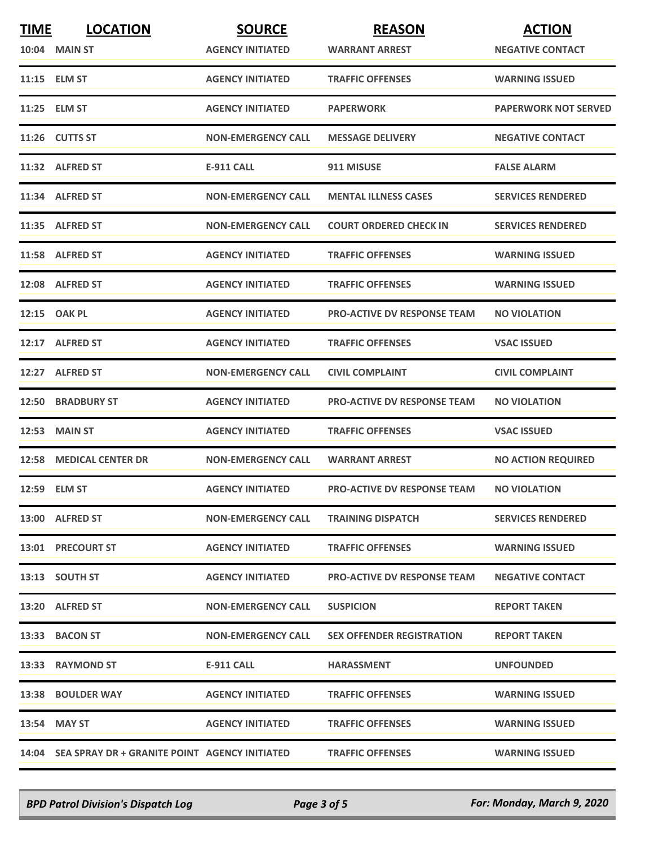| <b>TIME</b> | <b>LOCATION</b>                                     | <b>SOURCE</b>             | <b>REASON</b>                      | <b>ACTION</b>               |
|-------------|-----------------------------------------------------|---------------------------|------------------------------------|-----------------------------|
|             | <b>10:04 MAIN ST</b>                                | <b>AGENCY INITIATED</b>   | <b>WARRANT ARREST</b>              | <b>NEGATIVE CONTACT</b>     |
|             | 11:15 ELM ST                                        | <b>AGENCY INITIATED</b>   | <b>TRAFFIC OFFENSES</b>            | <b>WARNING ISSUED</b>       |
|             | 11:25 ELM ST                                        | <b>AGENCY INITIATED</b>   | <b>PAPERWORK</b>                   | <b>PAPERWORK NOT SERVED</b> |
|             | 11:26 CUTTS ST                                      | <b>NON-EMERGENCY CALL</b> | <b>MESSAGE DELIVERY</b>            | <b>NEGATIVE CONTACT</b>     |
|             | 11:32 ALFRED ST                                     | <b>E-911 CALL</b>         | 911 MISUSE                         | <b>FALSE ALARM</b>          |
|             | 11:34 ALFRED ST                                     | <b>NON-EMERGENCY CALL</b> | <b>MENTAL ILLNESS CASES</b>        | <b>SERVICES RENDERED</b>    |
|             | 11:35 ALFRED ST                                     | <b>NON-EMERGENCY CALL</b> | <b>COURT ORDERED CHECK IN</b>      | <b>SERVICES RENDERED</b>    |
|             | 11:58 ALFRED ST                                     | <b>AGENCY INITIATED</b>   | <b>TRAFFIC OFFENSES</b>            | <b>WARNING ISSUED</b>       |
|             | 12:08 ALFRED ST                                     | <b>AGENCY INITIATED</b>   | <b>TRAFFIC OFFENSES</b>            | <b>WARNING ISSUED</b>       |
|             | 12:15 OAK PL                                        | <b>AGENCY INITIATED</b>   | <b>PRO-ACTIVE DV RESPONSE TEAM</b> | <b>NO VIOLATION</b>         |
|             | 12:17 ALFRED ST                                     | <b>AGENCY INITIATED</b>   | <b>TRAFFIC OFFENSES</b>            | <b>VSAC ISSUED</b>          |
|             | 12:27 ALFRED ST                                     | <b>NON-EMERGENCY CALL</b> | <b>CIVIL COMPLAINT</b>             | <b>CIVIL COMPLAINT</b>      |
|             | <b>12:50 BRADBURY ST</b>                            | <b>AGENCY INITIATED</b>   | <b>PRO-ACTIVE DV RESPONSE TEAM</b> | <b>NO VIOLATION</b>         |
| 12:53       | <b>MAIN ST</b>                                      | <b>AGENCY INITIATED</b>   | <b>TRAFFIC OFFENSES</b>            | <b>VSAC ISSUED</b>          |
|             | 12:58 MEDICAL CENTER DR                             | <b>NON-EMERGENCY CALL</b> | <b>WARRANT ARREST</b>              | <b>NO ACTION REQUIRED</b>   |
|             | 12:59 ELM ST                                        | <b>AGENCY INITIATED</b>   | <b>PRO-ACTIVE DV RESPONSE TEAM</b> | <b>NO VIOLATION</b>         |
|             | 13:00 ALFRED ST                                     | <b>NON-EMERGENCY CALL</b> | <b>TRAINING DISPATCH</b>           | <b>SERVICES RENDERED</b>    |
|             | 13:01 PRECOURT ST                                   | <b>AGENCY INITIATED</b>   | <b>TRAFFIC OFFENSES</b>            | <b>WARNING ISSUED</b>       |
|             | 13:13 SOUTH ST                                      | <b>AGENCY INITIATED</b>   | <b>PRO-ACTIVE DV RESPONSE TEAM</b> | <b>NEGATIVE CONTACT</b>     |
|             | 13:20 ALFRED ST                                     | <b>NON-EMERGENCY CALL</b> | <b>SUSPICION</b>                   | <b>REPORT TAKEN</b>         |
|             | 13:33 BACON ST                                      | <b>NON-EMERGENCY CALL</b> | <b>SEX OFFENDER REGISTRATION</b>   | <b>REPORT TAKEN</b>         |
|             | 13:33 RAYMOND ST                                    | E-911 CALL                | <b>HARASSMENT</b>                  | <b>UNFOUNDED</b>            |
|             | 13:38 BOULDER WAY                                   | <b>AGENCY INITIATED</b>   | <b>TRAFFIC OFFENSES</b>            | <b>WARNING ISSUED</b>       |
|             | 13:54 MAY ST                                        | <b>AGENCY INITIATED</b>   | <b>TRAFFIC OFFENSES</b>            | <b>WARNING ISSUED</b>       |
|             | 14:04 SEA SPRAY DR + GRANITE POINT AGENCY INITIATED |                           | <b>TRAFFIC OFFENSES</b>            | <b>WARNING ISSUED</b>       |

*BPD Patrol Division's Dispatch Log Page 3 of 5 For: Monday, March 9, 2020*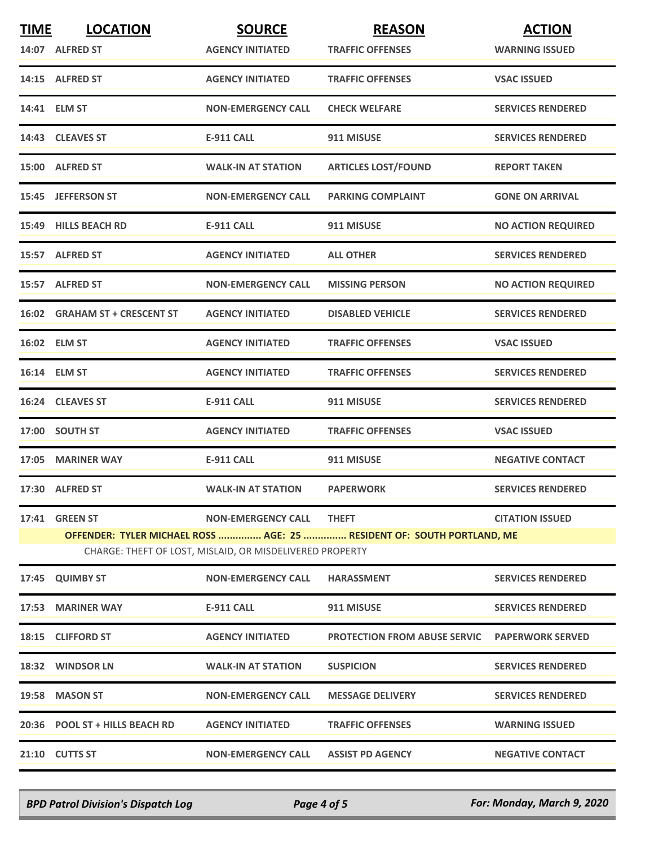| <b>TIME</b>  | <b>LOCATION</b>                                                                                                                    | <b>SOURCE</b>             | <b>REASON</b>                | <b>ACTION</b>             |  |
|--------------|------------------------------------------------------------------------------------------------------------------------------------|---------------------------|------------------------------|---------------------------|--|
|              | 14:07 ALFRED ST                                                                                                                    | <b>AGENCY INITIATED</b>   | <b>TRAFFIC OFFENSES</b>      | <b>WARNING ISSUED</b>     |  |
|              | 14:15 ALFRED ST                                                                                                                    | <b>AGENCY INITIATED</b>   | <b>TRAFFIC OFFENSES</b>      | <b>VSAC ISSUED</b>        |  |
|              | 14:41 ELM ST                                                                                                                       | <b>NON-EMERGENCY CALL</b> | <b>CHECK WELFARE</b>         | <b>SERVICES RENDERED</b>  |  |
|              | 14:43 CLEAVES ST                                                                                                                   | <b>E-911 CALL</b>         | 911 MISUSE                   | <b>SERVICES RENDERED</b>  |  |
|              | 15:00 ALFRED ST                                                                                                                    | <b>WALK-IN AT STATION</b> | <b>ARTICLES LOST/FOUND</b>   | <b>REPORT TAKEN</b>       |  |
|              | 15:45 JEFFERSON ST                                                                                                                 | <b>NON-EMERGENCY CALL</b> | <b>PARKING COMPLAINT</b>     | <b>GONE ON ARRIVAL</b>    |  |
|              | 15:49 HILLS BEACH RD                                                                                                               | <b>E-911 CALL</b>         | 911 MISUSE                   | <b>NO ACTION REQUIRED</b> |  |
|              | 15:57 ALFRED ST                                                                                                                    | <b>AGENCY INITIATED</b>   | <b>ALL OTHER</b>             | <b>SERVICES RENDERED</b>  |  |
|              | 15:57 ALFRED ST                                                                                                                    | <b>NON-EMERGENCY CALL</b> | <b>MISSING PERSON</b>        | <b>NO ACTION REQUIRED</b> |  |
|              | 16:02 GRAHAM ST + CRESCENT ST                                                                                                      | <b>AGENCY INITIATED</b>   | <b>DISABLED VEHICLE</b>      | <b>SERVICES RENDERED</b>  |  |
|              | 16:02 ELM ST                                                                                                                       | <b>AGENCY INITIATED</b>   | <b>TRAFFIC OFFENSES</b>      | <b>VSAC ISSUED</b>        |  |
| 16:14 ELM ST |                                                                                                                                    | <b>AGENCY INITIATED</b>   | <b>TRAFFIC OFFENSES</b>      | <b>SERVICES RENDERED</b>  |  |
|              | 16:24 CLEAVES ST                                                                                                                   | <b>E-911 CALL</b>         | 911 MISUSE                   | <b>SERVICES RENDERED</b>  |  |
|              | 17:00 SOUTH ST                                                                                                                     | <b>AGENCY INITIATED</b>   | <b>TRAFFIC OFFENSES</b>      | <b>VSAC ISSUED</b>        |  |
|              | 17:05 MARINER WAY                                                                                                                  | <b>E-911 CALL</b>         | 911 MISUSE                   | <b>NEGATIVE CONTACT</b>   |  |
|              | 17:30 ALFRED ST                                                                                                                    | <b>WALK-IN AT STATION</b> | <b>PAPERWORK</b>             | <b>SERVICES RENDERED</b>  |  |
| 17:41        | <b>GREEN ST</b>                                                                                                                    | <b>NON-EMERGENCY CALL</b> | <b>THEFT</b>                 | <b>CITATION ISSUED</b>    |  |
|              | OFFENDER: TYLER MICHAEL ROSS  AGE: 25  RESIDENT OF: SOUTH PORTLAND, ME<br>CHARGE: THEFT OF LOST, MISLAID, OR MISDELIVERED PROPERTY |                           |                              |                           |  |
| 17:45        | <b>QUIMBY ST</b>                                                                                                                   | <b>NON-EMERGENCY CALL</b> | <b>HARASSMENT</b>            | <b>SERVICES RENDERED</b>  |  |
| 17:53        | <b>MARINER WAY</b>                                                                                                                 | <b>E-911 CALL</b>         | 911 MISUSE                   | <b>SERVICES RENDERED</b>  |  |
|              | 18:15 CLIFFORD ST                                                                                                                  | <b>AGENCY INITIATED</b>   | PROTECTION FROM ABUSE SERVIC | <b>PAPERWORK SERVED</b>   |  |
|              | 18:32 WINDSOR LN                                                                                                                   | <b>WALK-IN AT STATION</b> | <b>SUSPICION</b>             | <b>SERVICES RENDERED</b>  |  |
|              | 19:58 MASON ST                                                                                                                     | <b>NON-EMERGENCY CALL</b> | <b>MESSAGE DELIVERY</b>      | <b>SERVICES RENDERED</b>  |  |
| 20:36        | <b>POOL ST + HILLS BEACH RD</b>                                                                                                    | <b>AGENCY INITIATED</b>   | <b>TRAFFIC OFFENSES</b>      | <b>WARNING ISSUED</b>     |  |
|              | 21:10 CUTTS ST                                                                                                                     | <b>NON-EMERGENCY CALL</b> | <b>ASSIST PD AGENCY</b>      | <b>NEGATIVE CONTACT</b>   |  |

*BPD Patrol Division's Dispatch Log Page 4 of 5 For: Monday, March 9, 2020*